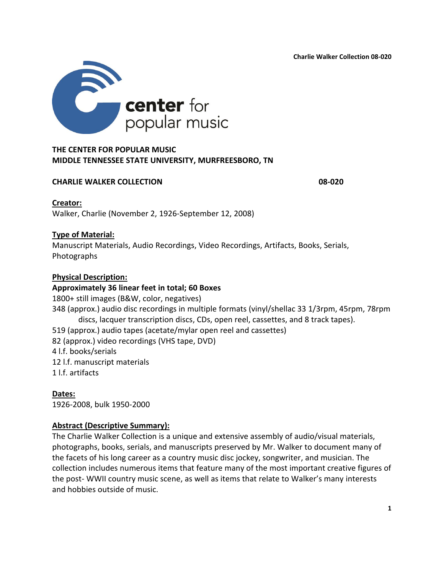**Charlie Walker Collection 08-020**



# **MIDDLE TENNESSEE STATE UNIVERSITY, MURFREESBORO, TN**

#### **CHARLIE WALKER COLLECTION 08-020**

**Creator:**

Walker, Charlie (November 2, 1926-September 12, 2008)

# **Type of Material:**

Manuscript Materials, Audio Recordings, Video Recordings, Artifacts, Books, Serials, Photographs

# **Physical Description:**

#### **Approximately 36 linear feet in total; 60 Boxes**

1800+ still images (B&W, color, negatives) 348 (approx.) audio disc recordings in multiple formats (vinyl/shellac 33 1/3rpm, 45rpm, 78rpm discs, lacquer transcription discs, CDs, open reel, cassettes, and 8 track tapes). 519 (approx.) audio tapes (acetate/mylar open reel and cassettes) 82 (approx.) video recordings (VHS tape, DVD) 4 l.f. books/serials 12 l.f. manuscript materials 1 l.f. artifacts

**Dates:** 1926-2008, bulk 1950-2000

# **Abstract (Descriptive Summary):**

The Charlie Walker Collection is a unique and extensive assembly of audio/visual materials, photographs, books, serials, and manuscripts preserved by Mr. Walker to document many of the facets of his long career as a country music disc jockey, songwriter, and musician. The collection includes numerous items that feature many of the most important creative figures of the post- WWII country music scene, as well as items that relate to Walker's many interests and hobbies outside of music.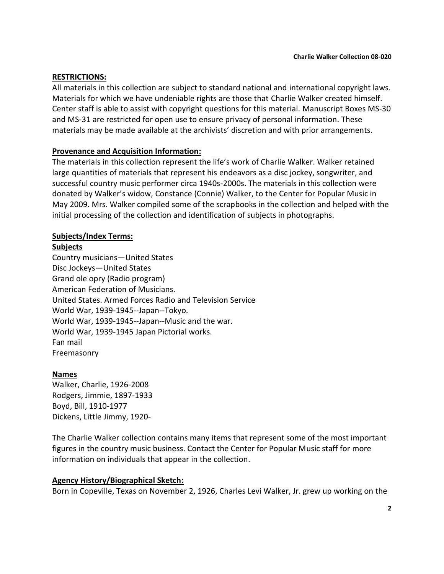#### **RESTRICTIONS:**

All materials in this collection are subject to standard national and international copyright laws. Materials for which we have undeniable rights are those that Charlie Walker created himself. Center staff is able to assist with copyright questions for this material. Manuscript Boxes MS-30 and MS-31 are restricted for open use to ensure privacy of personal information. These materials may be made available at the archivists' discretion and with prior arrangements.

#### **Provenance and Acquisition Information:**

The materials in this collection represent the life's work of Charlie Walker. Walker retained large quantities of materials that represent his endeavors as a disc jockey, songwriter, and successful country music performer circa 1940s-2000s. The materials in this collection were donated by Walker's widow, Constance (Connie) Walker, to the Center for Popular Music in May 2009. Mrs. Walker compiled some of the scrapbooks in the collection and helped with the initial processing of the collection and identification of subjects in photographs.

#### **Subjects/Index Terms:**

#### **Subjects**

Country musicians—United States Disc Jockeys—United States Grand ole opry (Radio program) American Federation of Musicians. United States. Armed Forces Radio and Television Service World War, 1939-1945--Japan--Tokyo. World War, 1939-1945--Japan--Music and the war. World War, 1939-1945 Japan Pictorial works. Fan mail Freemasonry

#### **Names**

Walker, Charlie, 1926-2008 Rodgers, Jimmie, 1897-1933 Boyd, Bill, 1910-1977 Dickens, Little Jimmy, 1920-

The Charlie Walker collection contains many items that represent some of the most important figures in the country music business. Contact the Center for Popular Music staff for more information on individuals that appear in the collection.

#### **Agency History/Biographical Sketch:**

Born in Copeville, Texas on November 2, 1926, Charles Levi Walker, Jr. grew up working on the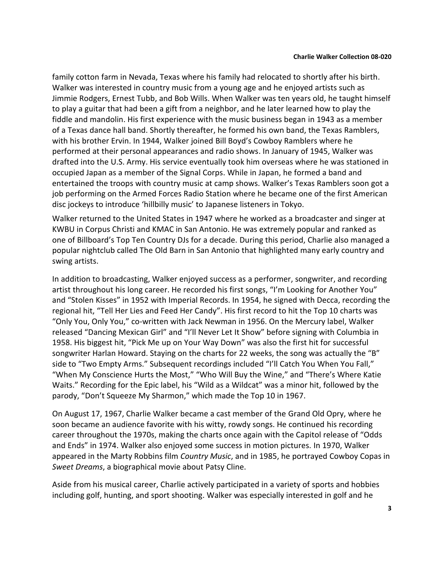family cotton farm in Nevada, Texas where his family had relocated to shortly after his birth. Walker was interested in country music from a young age and he enjoyed artists such as Jimmie Rodgers, Ernest Tubb, and Bob Wills. When Walker was ten years old, he taught himself to play a guitar that had been a gift from a neighbor, and he later learned how to play the fiddle and mandolin. His first experience with the music business began in 1943 as a member of a Texas dance hall band. Shortly thereafter, he formed his own band, the Texas Ramblers, with his brother Ervin. In 1944, Walker joined Bill Boyd's Cowboy Ramblers where he performed at their personal appearances and radio shows. In January of 1945, Walker was drafted into the U.S. Army. His service eventually took him overseas where he was stationed in occupied Japan as a member of the Signal Corps. While in Japan, he formed a band and entertained the troops with country music at camp shows. Walker's Texas Ramblers soon got a job performing on the Armed Forces Radio Station where he became one of the first American disc jockeys to introduce 'hillbilly music' to Japanese listeners in Tokyo.

Walker returned to the United States in 1947 where he worked as a broadcaster and singer at KWBU in Corpus Christi and KMAC in San Antonio. He was extremely popular and ranked as one of Billboard's Top Ten Country DJs for a decade. During this period, Charlie also managed a popular nightclub called The Old Barn in San Antonio that highlighted many early country and swing artists.

In addition to broadcasting, Walker enjoyed success as a performer, songwriter, and recording artist throughout his long career. He recorded his first songs, "I'm Looking for Another You" and "Stolen Kisses" in 1952 with Imperial Records. In 1954, he signed with Decca, recording the regional hit, "Tell Her Lies and Feed Her Candy". His first record to hit the Top 10 charts was "Only You, Only You," co-written with Jack Newman in 1956. On the Mercury label, Walker released "Dancing Mexican Girl" and "I'll Never Let It Show" before signing with Columbia in 1958. His biggest hit, "Pick Me up on Your Way Down" was also the first hit for successful songwriter Harlan Howard. Staying on the charts for 22 weeks, the song was actually the "B" side to "Two Empty Arms." Subsequent recordings included "I'll Catch You When You Fall," "When My Conscience Hurts the Most," "Who Will Buy the Wine," and "There's Where Katie Waits." Recording for the Epic label, his "Wild as a Wildcat" was a minor hit, followed by the parody, "Don't Squeeze My Sharmon," which made the Top 10 in 1967.

On August 17, 1967, Charlie Walker became a cast member of the Grand Old Opry, where he soon became an audience favorite with his witty, rowdy songs. He continued his recording career throughout the 1970s, making the charts once again with the Capitol release of "Odds and Ends" in 1974. Walker also enjoyed some success in motion pictures. In 1970, Walker appeared in the Marty Robbins film *Country Music*, and in 1985, he portrayed Cowboy Copas in *Sweet Dreams*, a biographical movie about Patsy Cline.

Aside from his musical career, Charlie actively participated in a variety of sports and hobbies including golf, hunting, and sport shooting. Walker was especially interested in golf and he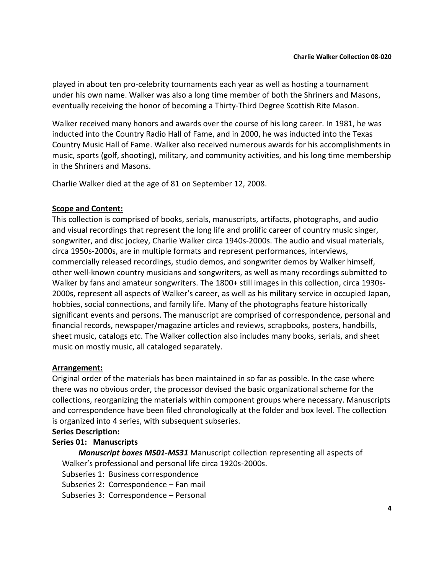played in about ten pro-celebrity tournaments each year as well as hosting a tournament under his own name. Walker was also a long time member of both the Shriners and Masons, eventually receiving the honor of becoming a Thirty-Third Degree Scottish Rite Mason.

Walker received many honors and awards over the course of his long career. In 1981, he was inducted into the Country Radio Hall of Fame, and in 2000, he was inducted into the Texas Country Music Hall of Fame. Walker also received numerous awards for his accomplishments in music, sports (golf, shooting), military, and community activities, and his long time membership in the Shriners and Masons.

Charlie Walker died at the age of 81 on September 12, 2008.

# **Scope and Content:**

This collection is comprised of books, serials, manuscripts, artifacts, photographs, and audio and visual recordings that represent the long life and prolific career of country music singer, songwriter, and disc jockey, Charlie Walker circa 1940s-2000s. The audio and visual materials, circa 1950s-2000s, are in multiple formats and represent performances, interviews, commercially released recordings, studio demos, and songwriter demos by Walker himself, other well-known country musicians and songwriters, as well as many recordings submitted to Walker by fans and amateur songwriters. The 1800+ still images in this collection, circa 1930s-2000s, represent all aspects of Walker's career, as well as his military service in occupied Japan, hobbies, social connections, and family life. Many of the photographs feature historically significant events and persons. The manuscript are comprised of correspondence, personal and financial records, newspaper/magazine articles and reviews, scrapbooks, posters, handbills, sheet music, catalogs etc. The Walker collection also includes many books, serials, and sheet music on mostly music, all cataloged separately.

# **Arrangement:**

Original order of the materials has been maintained in so far as possible. In the case where there was no obvious order, the processor devised the basic organizational scheme for the collections, reorganizing the materials within component groups where necessary. Manuscripts and correspondence have been filed chronologically at the folder and box level. The collection is organized into 4 series, with subsequent subseries.

#### **Series Description:**

# **Series 01: Manuscripts**

*Manuscript boxes MS01-MS31* Manuscript collection representing all aspects of Walker's professional and personal life circa 1920s-2000s.

Subseries 1: Business correspondence

Subseries 2: Correspondence – Fan mail

Subseries 3: Correspondence – Personal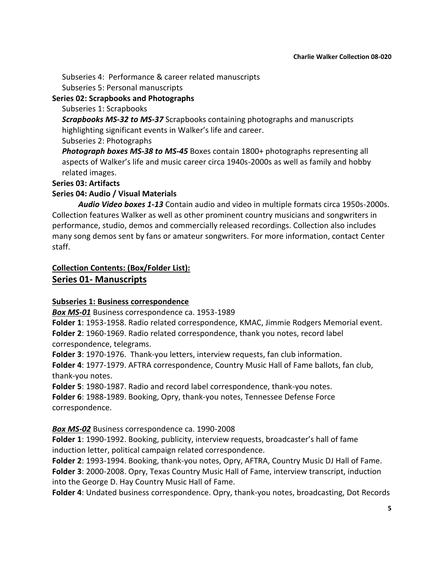Subseries 4: Performance & career related manuscripts Subseries 5: Personal manuscripts

# **Series 02: Scrapbooks and Photographs**

#### Subseries 1: Scrapbooks

*Scrapbooks MS-32 to MS-37* Scrapbooks containing photographs and manuscripts highlighting significant events in Walker's life and career.

Subseries 2: Photographs

*Photograph boxes MS-38 to MS-45* Boxes contain 1800+ photographs representing all aspects of Walker's life and music career circa 1940s-2000s as well as family and hobby related images.

# **Series 03: Artifacts**

# **Series 04: Audio / Visual Materials**

*Audio Video boxes 1-13* Contain audio and video in multiple formats circa 1950s-2000s. Collection features Walker as well as other prominent country musicians and songwriters in performance, studio, demos and commercially released recordings. Collection also includes many song demos sent by fans or amateur songwriters. For more information, contact Center staff.

# **Collection Contents: (Box/Folder List): Series 01- Manuscripts**

# **Subseries 1: Business correspondence**

*Box MS-01* Business correspondence ca. 1953-1989

**Folder 1**: 1953-1958. Radio related correspondence, KMAC, Jimmie Rodgers Memorial event. **Folder 2**: 1960-1969. Radio related correspondence, thank you notes, record label correspondence, telegrams.

**Folder 3**: 1970-1976. Thank-you letters, interview requests, fan club information.

**Folder 4**: 1977-1979. AFTRA correspondence, Country Music Hall of Fame ballots, fan club, thank-you notes.

**Folder 5**: 1980-1987. Radio and record label correspondence, thank-you notes. **Folder 6**: 1988-1989. Booking, Opry, thank-you notes, Tennessee Defense Force correspondence.

# *Box MS-02* Business correspondence ca. 1990-2008

**Folder 1**: 1990-1992. Booking, publicity, interview requests, broadcaster's hall of fame induction letter, political campaign related correspondence.

**Folder 2**: 1993-1994. Booking, thank-you notes, Opry, AFTRA, Country Music DJ Hall of Fame. **Folder 3**: 2000-2008. Opry, Texas Country Music Hall of Fame, interview transcript, induction into the George D. Hay Country Music Hall of Fame.

**Folder 4**: Undated business correspondence. Opry, thank-you notes, broadcasting, Dot Records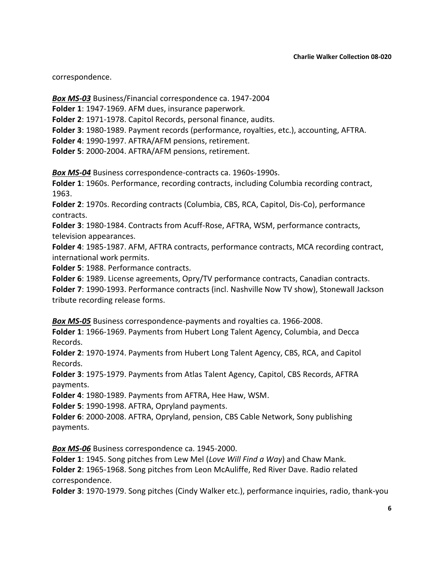correspondence.

*Box MS-03* Business/Financial correspondence ca. 1947-2004

**Folder 1**: 1947-1969. AFM dues, insurance paperwork.

**Folder 2**: 1971-1978. Capitol Records, personal finance, audits.

**Folder 3**: 1980-1989. Payment records (performance, royalties, etc.), accounting, AFTRA.

**Folder 4**: 1990-1997. AFTRA/AFM pensions, retirement.

**Folder 5**: 2000-2004. AFTRA/AFM pensions, retirement.

*Box MS-04* Business correspondence-contracts ca. 1960s-1990s.

**Folder 1**: 1960s. Performance, recording contracts, including Columbia recording contract, 1963.

**Folder 2**: 1970s. Recording contracts (Columbia, CBS, RCA, Capitol, Dis-Co), performance contracts.

**Folder 3**: 1980-1984. Contracts from Acuff-Rose, AFTRA, WSM, performance contracts, television appearances.

**Folder 4**: 1985-1987. AFM, AFTRA contracts, performance contracts, MCA recording contract, international work permits.

**Folder 5**: 1988. Performance contracts.

**Folder 6**: 1989. License agreements, Opry/TV performance contracts, Canadian contracts.

**Folder 7**: 1990-1993. Performance contracts (incl. Nashville Now TV show), Stonewall Jackson tribute recording release forms.

*Box MS-05* Business correspondence-payments and royalties ca. 1966-2008.

**Folder 1**: 1966-1969. Payments from Hubert Long Talent Agency, Columbia, and Decca Records.

**Folder 2**: 1970-1974. Payments from Hubert Long Talent Agency, CBS, RCA, and Capitol Records.

**Folder 3**: 1975-1979. Payments from Atlas Talent Agency, Capitol, CBS Records, AFTRA payments.

**Folder 4**: 1980-1989. Payments from AFTRA, Hee Haw, WSM.

**Folder 5**: 1990-1998. AFTRA, Opryland payments.

**Folder 6**: 2000-2008. AFTRA, Opryland, pension, CBS Cable Network, Sony publishing payments.

*Box MS-06* Business correspondence ca. 1945-2000.

**Folder 1**: 1945. Song pitches from Lew Mel (*Love Will Find a Way*) and Chaw Mank. **Folder 2**: 1965-1968. Song pitches from Leon McAuliffe, Red River Dave. Radio related correspondence.

**Folder 3**: 1970-1979. Song pitches (Cindy Walker etc.), performance inquiries, radio, thank-you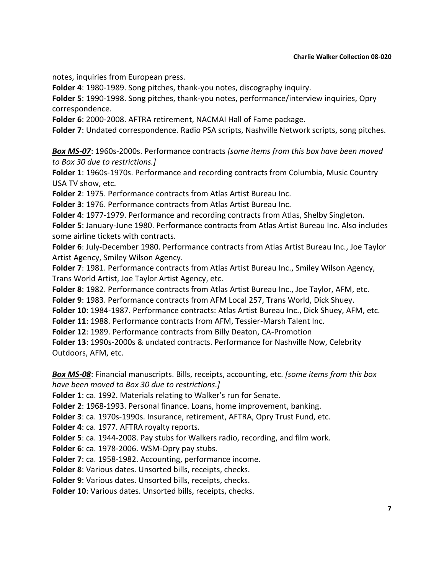#### **Charlie Walker Collection 08-020**

notes, inquiries from European press.

**Folder 4**: 1980-1989. Song pitches, thank-you notes, discography inquiry.

**Folder 5**: 1990-1998. Song pitches, thank-you notes, performance/interview inquiries, Opry correspondence.

**Folder 6**: 2000-2008. AFTRA retirement, NACMAI Hall of Fame package.

**Folder 7**: Undated correspondence. Radio PSA scripts, Nashville Network scripts, song pitches.

*Box MS-07*: 1960s-2000s. Performance contracts *[some items from this box have been moved to Box 30 due to restrictions.]*

**Folder 1**: 1960s-1970s. Performance and recording contracts from Columbia, Music Country USA TV show, etc.

**Folder 2**: 1975. Performance contracts from Atlas Artist Bureau Inc.

**Folder 3**: 1976. Performance contracts from Atlas Artist Bureau Inc.

**Folder 4**: 1977-1979. Performance and recording contracts from Atlas, Shelby Singleton.

**Folder 5**: January-June 1980. Performance contracts from Atlas Artist Bureau Inc. Also includes some airline tickets with contracts.

**Folder 6**: July-December 1980. Performance contracts from Atlas Artist Bureau Inc., Joe Taylor Artist Agency, Smiley Wilson Agency.

**Folder 7**: 1981. Performance contracts from Atlas Artist Bureau Inc., Smiley Wilson Agency, Trans World Artist, Joe Taylor Artist Agency, etc.

**Folder 8**: 1982. Performance contracts from Atlas Artist Bureau Inc., Joe Taylor, AFM, etc.

**Folder 9**: 1983. Performance contracts from AFM Local 257, Trans World, Dick Shuey.

**Folder 10**: 1984-1987. Performance contracts: Atlas Artist Bureau Inc., Dick Shuey, AFM, etc.

**Folder 11**: 1988. Performance contracts from AFM, Tessier-Marsh Talent Inc.

**Folder 12**: 1989. Performance contracts from Billy Deaton, CA-Promotion

**Folder 13**: 1990s-2000s & undated contracts. Performance for Nashville Now, Celebrity Outdoors, AFM, etc.

*Box MS-08*: Financial manuscripts. Bills, receipts, accounting, etc. *[some items from this box have been moved to Box 30 due to restrictions.]*

**Folder 1**: ca. 1992. Materials relating to Walker's run for Senate.

**Folder 2**: 1968-1993. Personal finance. Loans, home improvement, banking.

**Folder 3**: ca. 1970s-1990s. Insurance, retirement, AFTRA, Opry Trust Fund, etc.

**Folder 4**: ca. 1977. AFTRA royalty reports.

**Folder 5**: ca. 1944-2008. Pay stubs for Walkers radio, recording, and film work.

**Folder 6**: ca. 1978-2006. WSM-Opry pay stubs.

**Folder 7**: ca. 1958-1982. Accounting, performance income.

**Folder 8**: Various dates. Unsorted bills, receipts, checks.

**Folder 9**: Various dates. Unsorted bills, receipts, checks.

**Folder 10**: Various dates. Unsorted bills, receipts, checks.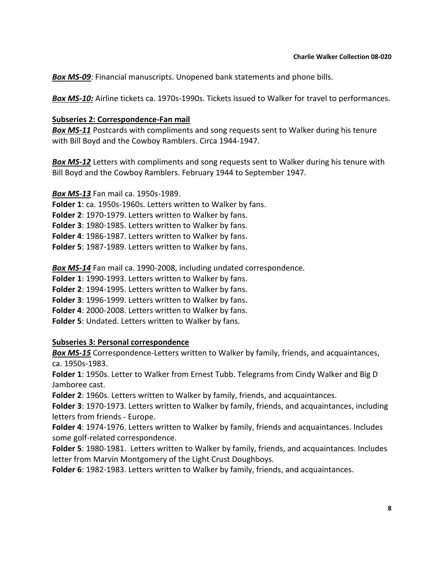*Box MS-09*: Financial manuscripts. Unopened bank statements and phone bills.

*Box MS-10:* Airline tickets ca. 1970s-1990s. Tickets issued to Walker for travel to performances.

#### **Subseries 2: Correspondence-Fan mail**

*Box MS-11* Postcards with compliments and song requests sent to Walker during his tenure with Bill Boyd and the Cowboy Ramblers. Circa 1944-1947.

*Box MS-12* Letters with compliments and song requests sent to Walker during his tenure with Bill Boyd and the Cowboy Ramblers. February 1944 to September 1947.

*Box MS-13* Fan mail ca. 1950s-1989. **Folder 1**: ca. 1950s-1960s. Letters written to Walker by fans. **Folder 2**: 1970-1979. Letters written to Walker by fans. **Folder 3**: 1980-1985. Letters written to Walker by fans. **Folder 4**: 1986-1987. Letters written to Walker by fans. **Folder 5**: 1987-1989. Letters written to Walker by fans.

*Box MS-14* Fan mail ca. 1990-2008, including undated correspondence.

**Folder 1**: 1990-1993. Letters written to Walker by fans.

**Folder 2**: 1994-1995. Letters written to Walker by fans.

**Folder 3**: 1996-1999. Letters written to Walker by fans.

**Folder 4**: 2000-2008. Letters written to Walker by fans.

**Folder 5**: Undated. Letters written to Walker by fans.

#### **Subseries 3: Personal correspondence**

*Box MS-15* Correspondence-Letters written to Walker by family, friends, and acquaintances, ca. 1950s-1983.

**Folder 1**: 1950s. Letter to Walker from Ernest Tubb. Telegrams from Cindy Walker and Big D Jamboree cast.

**Folder 2**: 1960s. Letters written to Walker by family, friends, and acquaintances.

**Folder 3**: 1970-1973. Letters written to Walker by family, friends, and acquaintances, including letters from friends - Europe.

**Folder 4**: 1974-1976. Letters written to Walker by family, friends and acquaintances. Includes some golf-related correspondence.

**Folder 5**: 1980-1981. Letters written to Walker by family, friends, and acquaintances. Includes letter from Marvin Montgomery of the Light Crust Doughboys.

**Folder 6**: 1982-1983. Letters written to Walker by family, friends, and acquaintances.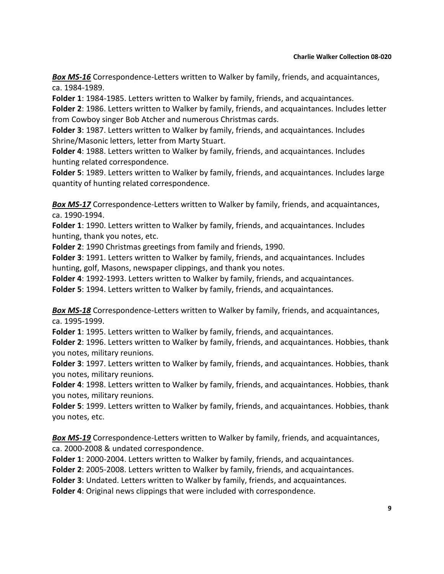*Box MS-16* Correspondence-Letters written to Walker by family, friends, and acquaintances, ca. 1984-1989.

**Folder 1**: 1984-1985. Letters written to Walker by family, friends, and acquaintances.

**Folder 2**: 1986. Letters written to Walker by family, friends, and acquaintances. Includes letter from Cowboy singer Bob Atcher and numerous Christmas cards.

**Folder 3**: 1987. Letters written to Walker by family, friends, and acquaintances. Includes Shrine/Masonic letters, letter from Marty Stuart.

**Folder 4**: 1988. Letters written to Walker by family, friends, and acquaintances. Includes hunting related correspondence.

**Folder 5**: 1989. Letters written to Walker by family, friends, and acquaintances. Includes large quantity of hunting related correspondence.

*Box MS-17* Correspondence-Letters written to Walker by family, friends, and acquaintances, ca. 1990-1994.

**Folder 1**: 1990. Letters written to Walker by family, friends, and acquaintances. Includes hunting, thank you notes, etc.

**Folder 2**: 1990 Christmas greetings from family and friends, 1990.

**Folder 3**: 1991. Letters written to Walker by family, friends, and acquaintances. Includes hunting, golf, Masons, newspaper clippings, and thank you notes.

**Folder 4**: 1992-1993. Letters written to Walker by family, friends, and acquaintances.

**Folder 5**: 1994. Letters written to Walker by family, friends, and acquaintances.

*Box MS-18* Correspondence-Letters written to Walker by family, friends, and acquaintances, ca. 1995-1999.

**Folder 1**: 1995. Letters written to Walker by family, friends, and acquaintances.

**Folder 2**: 1996. Letters written to Walker by family, friends, and acquaintances. Hobbies, thank you notes, military reunions.

**Folder 3**: 1997. Letters written to Walker by family, friends, and acquaintances. Hobbies, thank you notes, military reunions.

**Folder 4**: 1998. Letters written to Walker by family, friends, and acquaintances. Hobbies, thank you notes, military reunions.

**Folder 5**: 1999. Letters written to Walker by family, friends, and acquaintances. Hobbies, thank you notes, etc.

*Box MS-19* Correspondence-Letters written to Walker by family, friends, and acquaintances, ca. 2000-2008 & undated correspondence.

**Folder 1**: 2000-2004. Letters written to Walker by family, friends, and acquaintances.

**Folder 2**: 2005-2008. Letters written to Walker by family, friends, and acquaintances.

**Folder 3**: Undated. Letters written to Walker by family, friends, and acquaintances.

**Folder 4**: Original news clippings that were included with correspondence.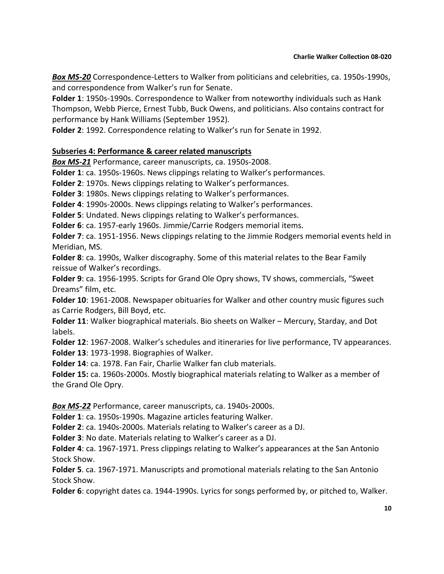*Box MS-20* Correspondence-Letters to Walker from politicians and celebrities, ca. 1950s-1990s, and correspondence from Walker's run for Senate.

**Folder 1**: 1950s-1990s. Correspondence to Walker from noteworthy individuals such as Hank Thompson, Webb Pierce, Ernest Tubb, Buck Owens, and politicians. Also contains contract for performance by Hank Williams (September 1952).

**Folder 2**: 1992. Correspondence relating to Walker's run for Senate in 1992.

#### **Subseries 4: Performance & career related manuscripts**

*Box MS-21* Performance, career manuscripts, ca. 1950s-2008.

**Folder 1**: ca. 1950s-1960s. News clippings relating to Walker's performances.

**Folder 2**: 1970s. News clippings relating to Walker's performances.

**Folder 3**: 1980s. News clippings relating to Walker's performances.

**Folder 4**: 1990s-2000s. News clippings relating to Walker's performances.

**Folder 5**: Undated. News clippings relating to Walker's performances.

**Folder 6**: ca. 1957-early 1960s. Jimmie/Carrie Rodgers memorial items.

**Folder 7**: ca. 1951-1956. News clippings relating to the Jimmie Rodgers memorial events held in Meridian, MS.

**Folder 8**: ca. 1990s, Walker discography. Some of this material relates to the Bear Family reissue of Walker's recordings.

**Folder 9**: ca. 1956-1995. Scripts for Grand Ole Opry shows, TV shows, commercials, "Sweet Dreams" film, etc.

**Folder 10**: 1961-2008. Newspaper obituaries for Walker and other country music figures such as Carrie Rodgers, Bill Boyd, etc.

**Folder 11**: Walker biographical materials. Bio sheets on Walker – Mercury, Starday, and Dot labels.

**Folder 12**: 1967-2008. Walker's schedules and itineraries for live performance, TV appearances. **Folder 13**: 1973-1998. Biographies of Walker.

**Folder 14**: ca. 1978. Fan Fair, Charlie Walker fan club materials.

**Folder 15:** ca. 1960s-2000s. Mostly biographical materials relating to Walker as a member of the Grand Ole Opry.

*Box MS-22* Performance, career manuscripts, ca. 1940s-2000s.

**Folder 1**: ca. 1950s-1990s. Magazine articles featuring Walker.

**Folder 2**: ca. 1940s-2000s. Materials relating to Walker's career as a DJ.

**Folder 3**: No date. Materials relating to Walker's career as a DJ.

**Folder 4**: ca. 1967-1971. Press clippings relating to Walker's appearances at the San Antonio Stock Show.

**Folder 5**. ca. 1967-1971. Manuscripts and promotional materials relating to the San Antonio Stock Show.

**Folder 6**: copyright dates ca. 1944-1990s. Lyrics for songs performed by, or pitched to, Walker.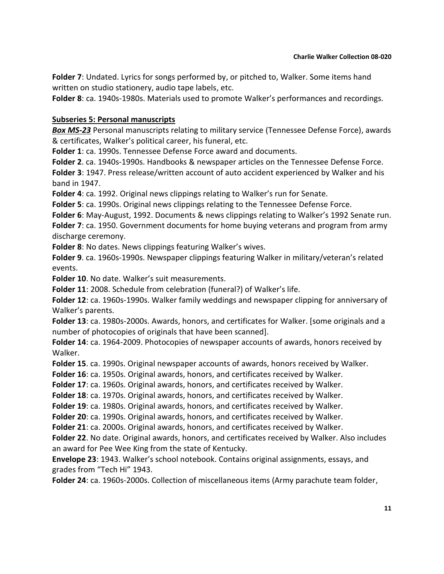**Folder 7**: Undated. Lyrics for songs performed by, or pitched to, Walker. Some items hand written on studio stationery, audio tape labels, etc.

**Folder 8**: ca. 1940s-1980s. Materials used to promote Walker's performances and recordings.

#### **Subseries 5: Personal manuscripts**

*Box MS-23* Personal manuscripts relating to military service (Tennessee Defense Force), awards & certificates, Walker's political career, his funeral, etc.

**Folder 1**: ca. 1990s. Tennessee Defense Force award and documents.

**Folder 2**. ca. 1940s-1990s. Handbooks & newspaper articles on the Tennessee Defense Force.

**Folder 3**: 1947. Press release/written account of auto accident experienced by Walker and his band in 1947.

**Folder 4**: ca. 1992. Original news clippings relating to Walker's run for Senate.

**Folder 5**: ca. 1990s. Original news clippings relating to the Tennessee Defense Force.

**Folder 6**: May-August, 1992. Documents & news clippings relating to Walker's 1992 Senate run. **Folder 7**: ca. 1950. Government documents for home buying veterans and program from army discharge ceremony.

**Folder 8**: No dates. News clippings featuring Walker's wives.

**Folder 9**. ca. 1960s-1990s. Newspaper clippings featuring Walker in military/veteran's related events.

**Folder 10**. No date. Walker's suit measurements.

**Folder 11**: 2008. Schedule from celebration (funeral?) of Walker's life.

**Folder 12**: ca. 1960s-1990s. Walker family weddings and newspaper clipping for anniversary of Walker's parents.

**Folder 13**: ca. 1980s-2000s. Awards, honors, and certificates for Walker. [some originals and a number of photocopies of originals that have been scanned].

**Folder 14**: ca. 1964-2009. Photocopies of newspaper accounts of awards, honors received by Walker.

**Folder 15**. ca. 1990s. Original newspaper accounts of awards, honors received by Walker.

**Folder 16**: ca. 1950s. Original awards, honors, and certificates received by Walker.

**Folder 17**: ca. 1960s. Original awards, honors, and certificates received by Walker.

**Folder 18**: ca. 1970s. Original awards, honors, and certificates received by Walker.

**Folder 19**: ca. 1980s. Original awards, honors, and certificates received by Walker.

**Folder 20**: ca. 1990s. Original awards, honors, and certificates received by Walker.

**Folder 21**: ca. 2000s. Original awards, honors, and certificates received by Walker.

**Folder 22**. No date. Original awards, honors, and certificates received by Walker. Also includes an award for Pee Wee King from the state of Kentucky.

**Envelope 23**: 1943. Walker's school notebook. Contains original assignments, essays, and grades from "Tech Hi" 1943.

**Folder 24**: ca. 1960s-2000s. Collection of miscellaneous items (Army parachute team folder,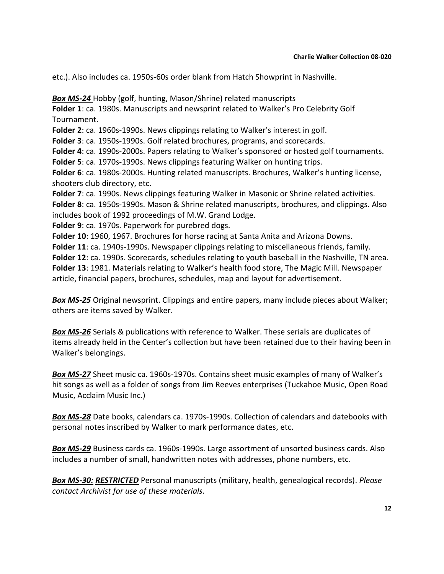etc.). Also includes ca. 1950s-60s order blank from Hatch Showprint in Nashville.

*Box MS-24* Hobby (golf, hunting, Mason/Shrine) related manuscripts **Folder 1**: ca. 1980s. Manuscripts and newsprint related to Walker's Pro Celebrity Golf Tournament. **Folder 2**: ca. 1960s-1990s. News clippings relating to Walker's interest in golf. **Folder 3**: ca. 1950s-1990s. Golf related brochures, programs, and scorecards. **Folder 4**: ca. 1990s-2000s. Papers relating to Walker's sponsored or hosted golf tournaments. **Folder 5**: ca. 1970s-1990s. News clippings featuring Walker on hunting trips. **Folder 6**: ca. 1980s-2000s. Hunting related manuscripts. Brochures, Walker's hunting license, shooters club directory, etc. **Folder 7**: ca. 1990s. News clippings featuring Walker in Masonic or Shrine related activities. **Folder 8**: ca. 1950s-1990s. Mason & Shrine related manuscripts, brochures, and clippings. Also includes book of 1992 proceedings of M.W. Grand Lodge. **Folder 9**: ca. 1970s. Paperwork for purebred dogs. **Folder 10**: 1960, 1967. Brochures for horse racing at Santa Anita and Arizona Downs. **Folder 11**: ca. 1940s-1990s. Newspaper clippings relating to miscellaneous friends, family.

**Folder 12**: ca. 1990s. Scorecards, schedules relating to youth baseball in the Nashville, TN area. **Folder 13**: 1981. Materials relating to Walker's health food store, The Magic Mill. Newspaper article, financial papers, brochures, schedules, map and layout for advertisement.

*Box MS-25* Original newsprint. Clippings and entire papers, many include pieces about Walker; others are items saved by Walker.

*Box MS-26* Serials & publications with reference to Walker. These serials are duplicates of items already held in the Center's collection but have been retained due to their having been in Walker's belongings.

*Box MS-27* Sheet music ca. 1960s-1970s. Contains sheet music examples of many of Walker's hit songs as well as a folder of songs from Jim Reeves enterprises (Tuckahoe Music, Open Road Music, Acclaim Music Inc.)

*Box MS-28* Date books, calendars ca. 1970s-1990s. Collection of calendars and datebooks with personal notes inscribed by Walker to mark performance dates, etc.

*Box MS-29* Business cards ca. 1960s-1990s. Large assortment of unsorted business cards. Also includes a number of small, handwritten notes with addresses, phone numbers, etc.

*Box MS-30: RESTRICTED* Personal manuscripts (military, health, genealogical records). *Please contact Archivist for use of these materials.*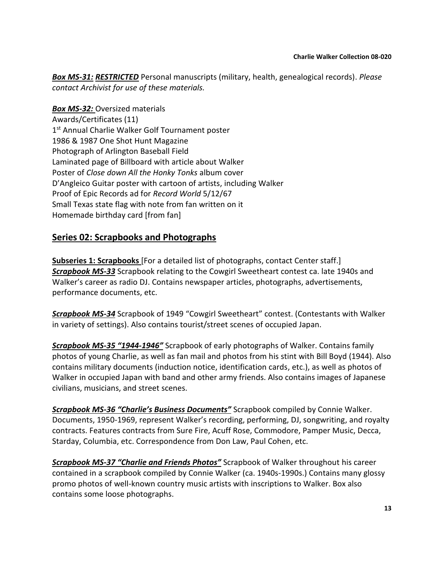*Box MS-31: RESTRICTED* Personal manuscripts (military, health, genealogical records). *Please contact Archivist for use of these materials.*

*Box MS-32:* Oversized materials Awards/Certificates (11) 1<sup>st</sup> Annual Charlie Walker Golf Tournament poster 1986 & 1987 One Shot Hunt Magazine Photograph of Arlington Baseball Field Laminated page of Billboard with article about Walker Poster of *Close down All the Honky Tonks* album cover D'Angleico Guitar poster with cartoon of artists, including Walker Proof of Epic Records ad for *Record World* 5/12/67 Small Texas state flag with note from fan written on it Homemade birthday card [from fan]

# **Series 02: Scrapbooks and Photographs**

**Subseries 1: Scrapbooks** [For a detailed list of photographs, contact Center staff.] *Scrapbook MS-33* Scrapbook relating to the Cowgirl Sweetheart contest ca. late 1940s and Walker's career as radio DJ. Contains newspaper articles, photographs, advertisements, performance documents, etc.

*Scrapbook MS-34* Scrapbook of 1949 "Cowgirl Sweetheart" contest. (Contestants with Walker in variety of settings). Also contains tourist/street scenes of occupied Japan.

*Scrapbook MS-35 "1944-1946"* Scrapbook of early photographs of Walker. Contains family photos of young Charlie, as well as fan mail and photos from his stint with Bill Boyd (1944). Also contains military documents (induction notice, identification cards, etc.), as well as photos of Walker in occupied Japan with band and other army friends. Also contains images of Japanese civilians, musicians, and street scenes.

*Scrapbook MS-36 "Charlie's Business Documents"* Scrapbook compiled by Connie Walker. Documents, 1950-1969, represent Walker's recording, performing, DJ, songwriting, and royalty contracts. Features contracts from Sure Fire, Acuff Rose, Commodore, Pamper Music, Decca, Starday, Columbia, etc. Correspondence from Don Law, Paul Cohen, etc.

*Scrapbook MS-37 "Charlie and Friends Photos"* Scrapbook of Walker throughout his career contained in a scrapbook compiled by Connie Walker (ca. 1940s-1990s.) Contains many glossy promo photos of well-known country music artists with inscriptions to Walker. Box also contains some loose photographs.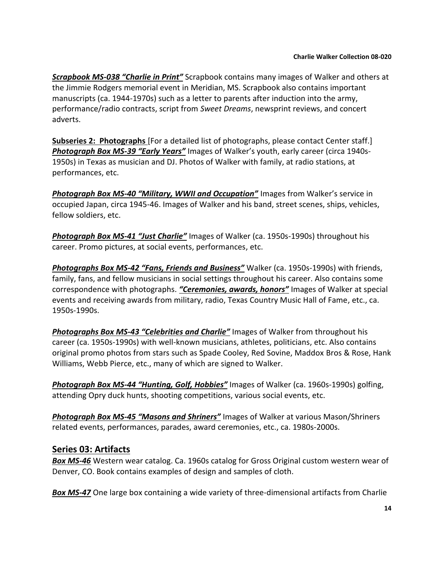*Scrapbook MS-038 "Charlie in Print"* Scrapbook contains many images of Walker and others at the Jimmie Rodgers memorial event in Meridian, MS. Scrapbook also contains important manuscripts (ca. 1944-1970s) such as a letter to parents after induction into the army, performance/radio contracts, script from *Sweet Dreams*, newsprint reviews, and concert adverts.

**Subseries 2: Photographs** [For a detailed list of photographs, please contact Center staff.] *Photograph Box MS-39 "Early Years"* Images of Walker's youth, early career (circa 1940s-1950s) in Texas as musician and DJ. Photos of Walker with family, at radio stations, at performances, etc.

*Photograph Box MS-40 "Military, WWII and Occupation"* Images from Walker's service in occupied Japan, circa 1945-46. Images of Walker and his band, street scenes, ships, vehicles, fellow soldiers, etc.

*Photograph Box MS-41 "Just Charlie"* Images of Walker (ca. 1950s-1990s) throughout his career. Promo pictures, at social events, performances, etc.

*Photographs Box MS-42 "Fans, Friends and Business"* Walker (ca. 1950s-1990s) with friends, family, fans, and fellow musicians in social settings throughout his career. Also contains some correspondence with photographs. *"Ceremonies, awards, honors"* Images of Walker at special events and receiving awards from military, radio, Texas Country Music Hall of Fame, etc., ca. 1950s-1990s.

*Photographs Box MS-43 "Celebrities and Charlie"* Images of Walker from throughout his career (ca. 1950s-1990s) with well-known musicians, athletes, politicians, etc. Also contains original promo photos from stars such as Spade Cooley, Red Sovine, Maddox Bros & Rose, Hank Williams, Webb Pierce, etc., many of which are signed to Walker.

*Photograph Box MS-44 "Hunting, Golf, Hobbies"* Images of Walker (ca. 1960s-1990s) golfing, attending Opry duck hunts, shooting competitions, various social events, etc.

*Photograph Box MS-45 "Masons and Shriners"* Images of Walker at various Mason/Shriners related events, performances, parades, award ceremonies, etc., ca. 1980s-2000s.

# **Series 03: Artifacts**

*Box MS-46* Western wear catalog. Ca. 1960s catalog for Gross Original custom western wear of Denver, CO. Book contains examples of design and samples of cloth.

*Box MS-47* One large box containing a wide variety of three-dimensional artifacts from Charlie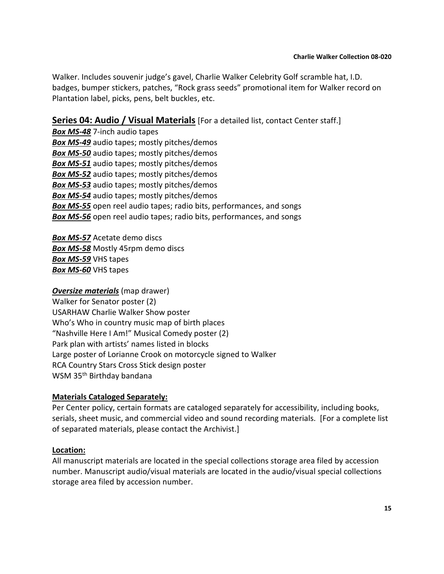Walker. Includes souvenir judge's gavel, Charlie Walker Celebrity Golf scramble hat, I.D. badges, bumper stickers, patches, "Rock grass seeds" promotional item for Walker record on Plantation label, picks, pens, belt buckles, etc.

# **Series 04: Audio / Visual Materials** [For a detailed list, contact Center staff.]

*Box MS-48* 7-inch audio tapes *Box MS-49* audio tapes; mostly pitches/demos *Box MS-50* audio tapes; mostly pitches/demos *Box MS-51* audio tapes; mostly pitches/demos *Box MS-52* audio tapes; mostly pitches/demos *Box MS-53* audio tapes; mostly pitches/demos *Box MS-54* audio tapes; mostly pitches/demos *Box MS-55* open reel audio tapes; radio bits, performances, and songs *Box MS-56* open reel audio tapes; radio bits, performances, and songs

*Box MS-57* Acetate demo discs *Box MS-58* Mostly 45rpm demo discs *Box MS-59* VHS tapes *Box MS-60* VHS tapes

# *Oversize materials* (map drawer)

Walker for Senator poster (2) USARHAW Charlie Walker Show poster Who's Who in country music map of birth places "Nashville Here I Am!" Musical Comedy poster (2) Park plan with artists' names listed in blocks Large poster of Lorianne Crook on motorcycle signed to Walker RCA Country Stars Cross Stick design poster WSM 35<sup>th</sup> Birthday bandana

# **Materials Cataloged Separately:**

Per Center policy, certain formats are cataloged separately for accessibility, including books, serials, sheet music, and commercial video and sound recording materials. [For a complete list of separated materials, please contact the Archivist.]

#### **Location:**

All manuscript materials are located in the special collections storage area filed by accession number. Manuscript audio/visual materials are located in the audio/visual special collections storage area filed by accession number.